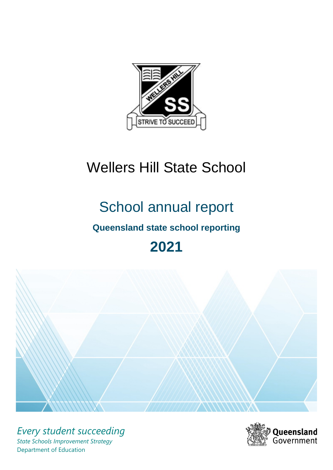

# Wellers Hill State School

# School annual report

# **Queensland state school reporting**

# **2021**



*Every student succeeding State Schools Improvement Strategy* Department of Education

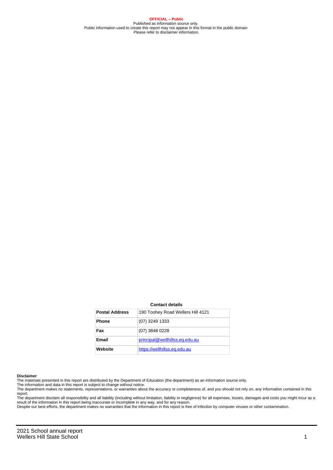**OFFICIAL – Public** Published as information source only. Public information used to create this report may not appear in this format in the public domain Please refer to disclaimer information.

#### **Contact details**

| <b>Postal Address</b> | 190 Toohey Road Wellers Hill 4121 |
|-----------------------|-----------------------------------|
| <b>Phone</b>          | (07) 3249 1333                    |
| Fax                   | (07) 3848 0228                    |
| <b>Email</b>          | principal@wellhillss.eq.edu.au    |
| Website               | https://wellhillss.eg.edu.au      |

#### **Disclaimer**

The materials presented in this report are distributed by the Department of Education (the department) as an information source only.

The information and data in this report is subject to change without notice.<br>The department makes no statements, representations, or warranties about the accuracy or completeness of, and you should not rely on, any informa report.

The department disclaim all responsibility and all liability (including without limitation, liability in negligence) for all expenses, losses, damages and costs you might incur as a result of the information in this report being inaccurate or incomplete in any way, and for any reason. Despite our best efforts, the department makes no warranties that the information in this report is free of infection by computer viruses or other contamination.

2021 School annual report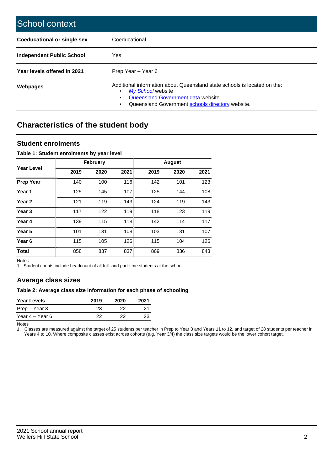| School context                   |                                                                                                                                                                                              |
|----------------------------------|----------------------------------------------------------------------------------------------------------------------------------------------------------------------------------------------|
| Coeducational or single sex      | Coeducational                                                                                                                                                                                |
| <b>Independent Public School</b> | Yes                                                                                                                                                                                          |
| Year levels offered in 2021      | Prep Year - Year 6                                                                                                                                                                           |
| Webpages                         | Additional information about Queensland state schools is located on the:<br>My School website<br>Queensland Government data website<br>Queensland Government schools directory website.<br>٠ |

# **Characteristics of the student body**

### **Student enrolments**

#### **Table 1: Student enrolments by year level**

|                   |      | <b>February</b> |      |      | <b>August</b> |      |
|-------------------|------|-----------------|------|------|---------------|------|
| Year Level        | 2019 | 2020            | 2021 | 2019 | 2020          | 2021 |
| <b>Prep Year</b>  | 140  | 100             | 116  | 142  | 101           | 123  |
| Year 1            | 125  | 145             | 107  | 125  | 144           | 108  |
| Year 2            | 121  | 119             | 143  | 124  | 119           | 143  |
| Year <sub>3</sub> | 117  | 122             | 119  | 118  | 123           | 119  |
| Year 4            | 139  | 115             | 118  | 142  | 114           | 117  |
| Year 5            | 101  | 131             | 108  | 103  | 131           | 107  |
| Year <sub>6</sub> | 115  | 105             | 126  | 115  | 104           | 126  |
| <b>Total</b>      | 858  | 837             | 837  | 869  | 836           | 843  |

Notes

1. Student counts include headcount of all full- and part-time students at the school.

## **Average class sizes**

#### **Table 2: Average class size information for each phase of schooling**

| <b>Year Levels</b> | 2019 | 2020 | 2021 |
|--------------------|------|------|------|
| Prep – Year 3      | 23   | つつ   |      |
| Year 4 – Year 6    | つつ   |      | 23   |

Notes

1. Classes are measured against the target of 25 students per teacher in Prep to Year 3 and Years 11 to 12, and target of 28 students per teacher in Years 4 to 10. Where composite classes exist across cohorts (e.g. Year 3/4) the class size targets would be the lower cohort target.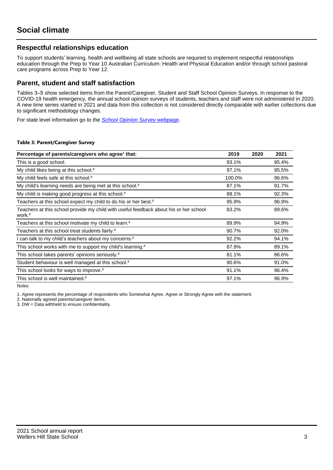## **Respectful relationships education**

To support students' learning, health and wellbeing all state schools are required to implement respectful relationships education through the Prep to Year 10 Australian Curriculum: Health and Physical Education and/or through school pastoral care programs across Prep to Year 12.

### **Parent, student and staff satisfaction**

Tables 3–5 show selected items from the Parent/Caregiver, Student and Staff School Opinion Surveys. In response to the COVID-19 health emergency, the annual school opinion surveys of students, teachers and staff were not administered in 2020. A new time series started in 2021 and data from this collection is not considered directly comparable with earlier collections due to significant methodology changes.

For state level information go to the **[School Opinion Survey](https://qed.qld.gov.au/publications/reports/statistics/schooling/schools/schoolopinionsurvey) webpage**.

#### **Table 3: Parent/Caregiver Survey**

| Percentage of parents/caregivers who agree <sup>1</sup> that:                                               | 2019   | 2020 | 2021  |
|-------------------------------------------------------------------------------------------------------------|--------|------|-------|
| This is a good school.                                                                                      | 93.1%  |      | 95.4% |
| My child likes being at this school. <sup>2</sup>                                                           | 97.1%  |      | 95.5% |
| My child feels safe at this school. <sup>2</sup>                                                            | 100.0% |      | 96.6% |
| My child's learning needs are being met at this school. <sup>2</sup>                                        | 87.1%  |      | 91.7% |
| My child is making good progress at this school. <sup>2</sup>                                               | 88.1%  |      | 92.3% |
| Teachers at this school expect my child to do his or her best. <sup>2</sup>                                 | 95.9%  |      | 96.9% |
| Teachers at this school provide my child with useful feedback about his or her school<br>work. <sup>2</sup> | 83.2%  |      | 89.6% |
| Teachers at this school motivate my child to learn. <sup>2</sup>                                            | 89.9%  |      | 94.9% |
| Teachers at this school treat students fairly. <sup>2</sup>                                                 | 90.7%  |      | 92.0% |
| can talk to my child's teachers about my concerns. <sup>2</sup>                                             | 92.2%  |      | 94.1% |
| This school works with me to support my child's learning. <sup>2</sup>                                      | 87.9%  |      | 89.1% |
| This school takes parents' opinions seriously. <sup>2</sup>                                                 | 81.1%  |      | 86.6% |
| Student behaviour is well managed at this school. <sup>2</sup>                                              | 90.6%  |      | 91.0% |
| This school looks for ways to improve. <sup>2</sup>                                                         | 91.1%  |      | 96.4% |
| This school is well maintained. <sup>2</sup>                                                                | 97.1%  |      | 96.9% |

Notes

1. Agree represents the percentage of respondents who Somewhat Agree, Agree or Strongly Agree with the statement.

2. Nationally agreed parents/caregiver items.

3. DW = Data withheld to ensure confidentiality.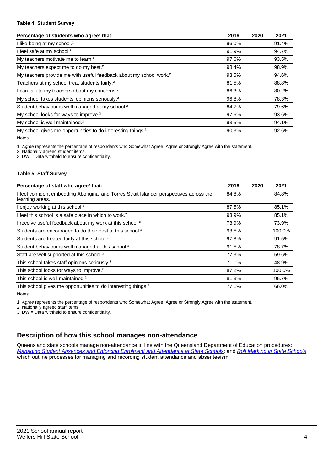#### **Table 4: Student Survey**

| Percentage of students who agree <sup>1</sup> that:                            | 2019  | 2020 | 2021  |
|--------------------------------------------------------------------------------|-------|------|-------|
| I like being at my school. <sup>2</sup>                                        | 96.0% |      | 91.4% |
| I feel safe at my school. <sup>2</sup>                                         | 91.9% |      | 94.7% |
| My teachers motivate me to learn. <sup>2</sup>                                 | 97.6% |      | 93.5% |
| My teachers expect me to do my best. <sup>2</sup>                              | 98.4% |      | 98.9% |
| My teachers provide me with useful feedback about my school work. <sup>2</sup> | 93.5% |      | 94.6% |
| Teachers at my school treat students fairly. <sup>2</sup>                      | 81.5% |      | 88.8% |
| I can talk to my teachers about my concerns. <sup>2</sup>                      | 86.3% |      | 80.2% |
| My school takes students' opinions seriously. <sup>2</sup>                     | 96.8% |      | 78.3% |
| Student behaviour is well managed at my school. <sup>2</sup>                   | 84.7% |      | 79.6% |
| My school looks for ways to improve. <sup>2</sup>                              | 97.6% |      | 93.6% |
| My school is well maintained. <sup>2</sup>                                     | 93.5% |      | 94.1% |
| My school gives me opportunities to do interesting things. <sup>2</sup>        | 90.3% |      | 92.6% |

Notes

1. Agree represents the percentage of respondents who Somewhat Agree, Agree or Strongly Agree with the statement.

2. Nationally agreed student items.

3. DW = Data withheld to ensure confidentiality.

#### **Table 5: Staff Survey**

| Percentage of staff who agree <sup>1</sup> that:                                                            | 2019  | 2020 | 2021   |
|-------------------------------------------------------------------------------------------------------------|-------|------|--------|
| I feel confident embedding Aboriginal and Torres Strait Islander perspectives across the<br>learning areas. | 84.8% |      | 84.8%  |
| I enjoy working at this school. <sup>2</sup>                                                                | 87.5% |      | 85.1%  |
| I feel this school is a safe place in which to work. <sup>2</sup>                                           | 93.9% |      | 85.1%  |
| I receive useful feedback about my work at this school. <sup>2</sup>                                        | 73.9% |      | 73.9%  |
| Students are encouraged to do their best at this school. <sup>2</sup>                                       | 93.5% |      | 100.0% |
| Students are treated fairly at this school. <sup>2</sup>                                                    | 97.8% |      | 91.5%  |
| Student behaviour is well managed at this school. <sup>2</sup>                                              | 91.5% |      | 78.7%  |
| Staff are well supported at this school. <sup>2</sup>                                                       | 77.3% |      | 59.6%  |
| This school takes staff opinions seriously. <sup>2</sup>                                                    | 71.1% |      | 48.9%  |
| This school looks for ways to improve. <sup>2</sup>                                                         | 87.2% |      | 100.0% |
| This school is well maintained. <sup>2</sup>                                                                | 81.3% |      | 95.7%  |
| This school gives me opportunities to do interesting things. <sup>2</sup>                                   | 77.1% |      | 66.0%  |

Notes

1. Agree represents the percentage of respondents who Somewhat Agree, Agree or Strongly Agree with the statement.

2. Nationally agreed staff items.

3. DW = Data withheld to ensure confidentiality.

## **Description of how this school manages non-attendance**

Queensland state schools manage non-attendance in line with the Queensland Department of Education procedures: [Managing Student Absences and Enforcing Enrolment and Attendance at State Schools](https://ppr.qed.qld.gov.au/pp/managing-student-absences-and-enforcing-enrolment-and-attendance-at-state-schools-procedure); and [Roll Marking in State Schools,](https://ppr.qed.qld.gov.au/pp/roll-marking-in-state-schools-procedure) which outline processes for managing and recording student attendance and absenteeism.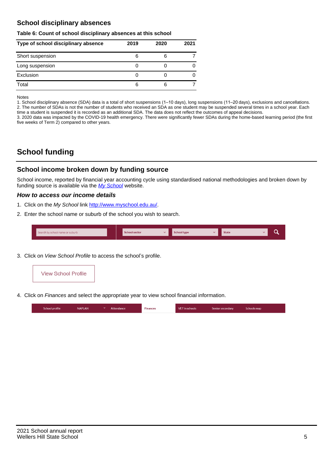## **School disciplinary absences**

#### **Table 6: Count of school disciplinary absences at this school**

| Type of school disciplinary absence | 2019 | 2020 | 2021 |
|-------------------------------------|------|------|------|
| Short suspension                    | 6    |      |      |
| Long suspension                     |      |      |      |
| Exclusion                           |      |      |      |
| Total                               | 6    | 6    |      |

Notes

1. School disciplinary absence (SDA) data is a total of short suspensions (1–10 days), long suspensions (11–20 days), exclusions and cancellations. 2. The number of SDAs is not the number of students who received an SDA as one student may be suspended several times in a school year. Each time a student is suspended it is recorded as an additional SDA. The data does not reflect the outcomes of appeal decisions.

3. 2020 data was impacted by the COVID-19 health emergency. There were significantly fewer SDAs during the home-based learning period (the first five weeks of Term 2) compared to other years.

# **School funding**

## **School income broken down by funding source**

School income, reported by financial year accounting cycle using standardised national methodologies and broken down by funding source is available via the  $My$  School website.

#### **How to access our income details**

- 1. Click on the My School link <http://www.myschool.edu.au/>.
- 2. Enter the school name or suburb of the school you wish to search.

|  | Search by school name or suburb |  | <b>School sector</b> |  | $\sim$ and $\sim$ represents the set of $\sim$ | <b>State</b> |  |  |  |
|--|---------------------------------|--|----------------------|--|------------------------------------------------|--------------|--|--|--|
|--|---------------------------------|--|----------------------|--|------------------------------------------------|--------------|--|--|--|

3. Click on View School Profile to access the school's profile.



4. Click on Finances and select the appropriate year to view school financial information.

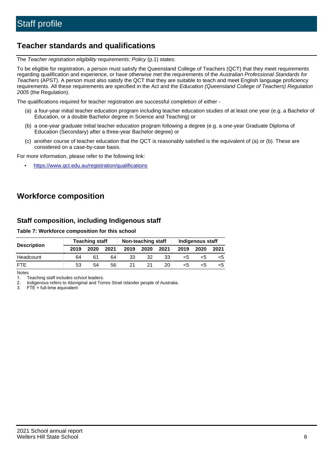# **Teacher standards and qualifications**

The Teacher registration eligibility requirements: Policy (p.1) states:

To be eligible for registration, a person must satisfy the Queensland College of Teachers (QCT) that they meet requirements regarding qualification and experience, or have otherwise met the requirements of the Australian Professional Standards for Teachers (APST). A person must also satisfy the QCT that they are suitable to teach and meet English language proficiency requirements. All these requirements are specified in the Act and the Education (Queensland College of Teachers) Regulation 2005 (the Regulation).

The qualifications required for teacher registration are successful completion of either -

- (a) a four-year initial teacher education program including teacher education studies of at least one year (e.g. a Bachelor of Education, or a double Bachelor degree in Science and Teaching) or
- (b) a one-year graduate initial teacher education program following a degree (e.g. a one-year Graduate Diploma of Education (Secondary) after a three-year Bachelor degree) or
- (c) another course of teacher education that the QCT is reasonably satisfied is the equivalent of (a) or (b). These are considered on a case-by-case basis.

For more information, please refer to the following link:

• <https://www.qct.edu.au/registration/qualifications>

# **Workforce composition**

## **Staff composition, including Indigenous staff**

#### **Table 7: Workforce composition for this school**

|                    |      | <b>Teaching staff</b> |      | Non-teaching staff |      |                 | Indigenous staff |      |      |
|--------------------|------|-----------------------|------|--------------------|------|-----------------|------------------|------|------|
| <b>Description</b> | 2019 | 2020                  | 2021 | 2019               | 2020 | 2021            | 2019             | 2020 | 2021 |
| Headcount          | 64   | 61                    | 64   | 33                 | 32   | 33              | <5               | <5   |      |
| <b>FTF</b>         | 53   | 54                    | 56   |                    | 21   | 20 <sub>1</sub> | <5               | ה>   |      |

Notes

1. Teaching staff includes school leaders.

2. Indigenous refers to Aboriginal and Torres Strait Islander people of Australia.

3. FTE = full-time equivalent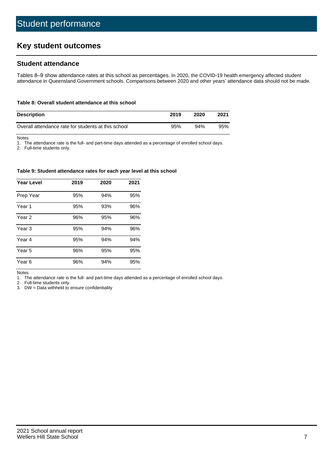# **Key student outcomes**

## **Student attendance**

Tables 8–9 show attendance rates at this school as percentages. In 2020, the COVID-19 health emergency affected student attendance in Queensland Government schools. Comparisons between 2020 and other years' attendance data should not be made.

#### **Table 8: Overall student attendance at this school**

| <b>Description</b>                                  | 2019 | 2020 | 2021 |
|-----------------------------------------------------|------|------|------|
| Overall attendance rate for students at this school | 95%  | 94%  | 95%  |

Notes

1. The attendance rate is the full- and part-time days attended as a percentage of enrolled school days.

2. Full-time students only.

#### **Table 9: Student attendance rates for each year level at this school**

| <b>Year Level</b> | 2019 | 2020 | 2021 |
|-------------------|------|------|------|
| Prep Year         | 95%  | 94%  | 95%  |
| Year <sub>1</sub> | 95%  | 93%  | 96%  |
| Year 2            | 96%  | 95%  | 96%  |
| Year 3            | 95%  | 94%  | 96%  |
| Year 4            | 95%  | 94%  | 94%  |
| Year 5            | 96%  | 95%  | 95%  |
| Year <sub>6</sub> | 96%  | 94%  | 95%  |

Notes

1. The attendance rate is the full- and part-time days attended as a percentage of enrolled school days.

2. Full-time students only.

3. DW = Data withheld to ensure confidentiality